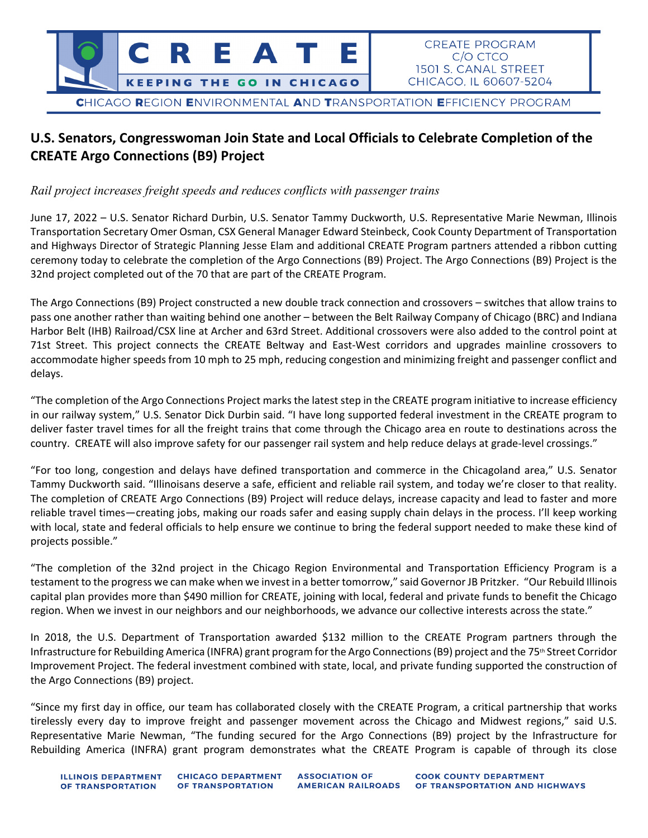

## **U.S. Senators, Congresswoman Join State and Local Officials to Celebrate Completion of the CREATE Argo Connections (B9) Project**

*Rail project increases freight speeds and reduces conflicts with passenger trains*

June 17, 2022 – U.S. Senator Richard Durbin, U.S. Senator Tammy Duckworth, U.S. Representative Marie Newman, Illinois Transportation Secretary Omer Osman, CSX General Manager Edward Steinbeck, Cook County Department of Transportation and Highways Director of Strategic Planning Jesse Elam and additional CREATE Program partners attended a ribbon cutting ceremony today to celebrate the completion of the Argo Connections (B9) Project. The Argo Connections (B9) Project is the 32nd project completed out of the 70 that are part of the CREATE Program.

The Argo Connections (B9) Project constructed a new double track connection and crossovers – switches that allow trains to pass one another rather than waiting behind one another – between the Belt Railway Company of Chicago (BRC) and Indiana Harbor Belt (IHB) Railroad/CSX line at Archer and 63rd Street. Additional crossovers were also added to the control point at 71st Street. This project connects the CREATE Beltway and East-West corridors and upgrades mainline crossovers to accommodate higher speeds from 10 mph to 25 mph, reducing congestion and minimizing freight and passenger conflict and delays.

"The completion of the Argo Connections Project marks the latest step in the CREATE program initiative to increase efficiency in our railway system," U.S. Senator Dick Durbin said. "I have long supported federal investment in the CREATE program to deliver faster travel times for all the freight trains that come through the Chicago area en route to destinations across the country. CREATE will also improve safety for our passenger rail system and help reduce delays at grade-level crossings."

"For too long, congestion and delays have defined transportation and commerce in the Chicagoland area," U.S. Senator Tammy Duckworth said. "Illinoisans deserve a safe, efficient and reliable rail system, and today we're closer to that reality. The completion of CREATE Argo Connections (B9) Project will reduce delays, increase capacity and lead to faster and more reliable travel times—creating jobs, making our roads safer and easing supply chain delays in the process. I'll keep working with local, state and federal officials to help ensure we continue to bring the federal support needed to make these kind of projects possible."

"The completion of the 32nd project in the Chicago Region Environmental and Transportation Efficiency Program is a testament to the progress we can make when we invest in a better tomorrow," said Governor JB Pritzker. "Our Rebuild Illinois capital plan provides more than \$490 million for CREATE, joining with local, federal and private funds to benefit the Chicago region. When we invest in our neighbors and our neighborhoods, we advance our collective interests across the state."

In 2018, the U.S. Department of Transportation awarded \$132 million to the CREATE Program partners through the Infrastructure for Rebuilding America (INFRA) grant program for the Argo Connections (B9) project and the 75<sup>th</sup> Street Corridor Improvement Project. The federal investment combined with state, local, and private funding supported the construction of the Argo Connections (B9) project.

"Since my first day in office, our team has collaborated closely with the CREATE Program, a critical partnership that works tirelessly every day to improve freight and passenger movement across the Chicago and Midwest regions," said U.S. Representative Marie Newman, "The funding secured for the Argo Connections (B9) project by the Infrastructure for Rebuilding America (INFRA) grant program demonstrates what the CREATE Program is capable of through its close